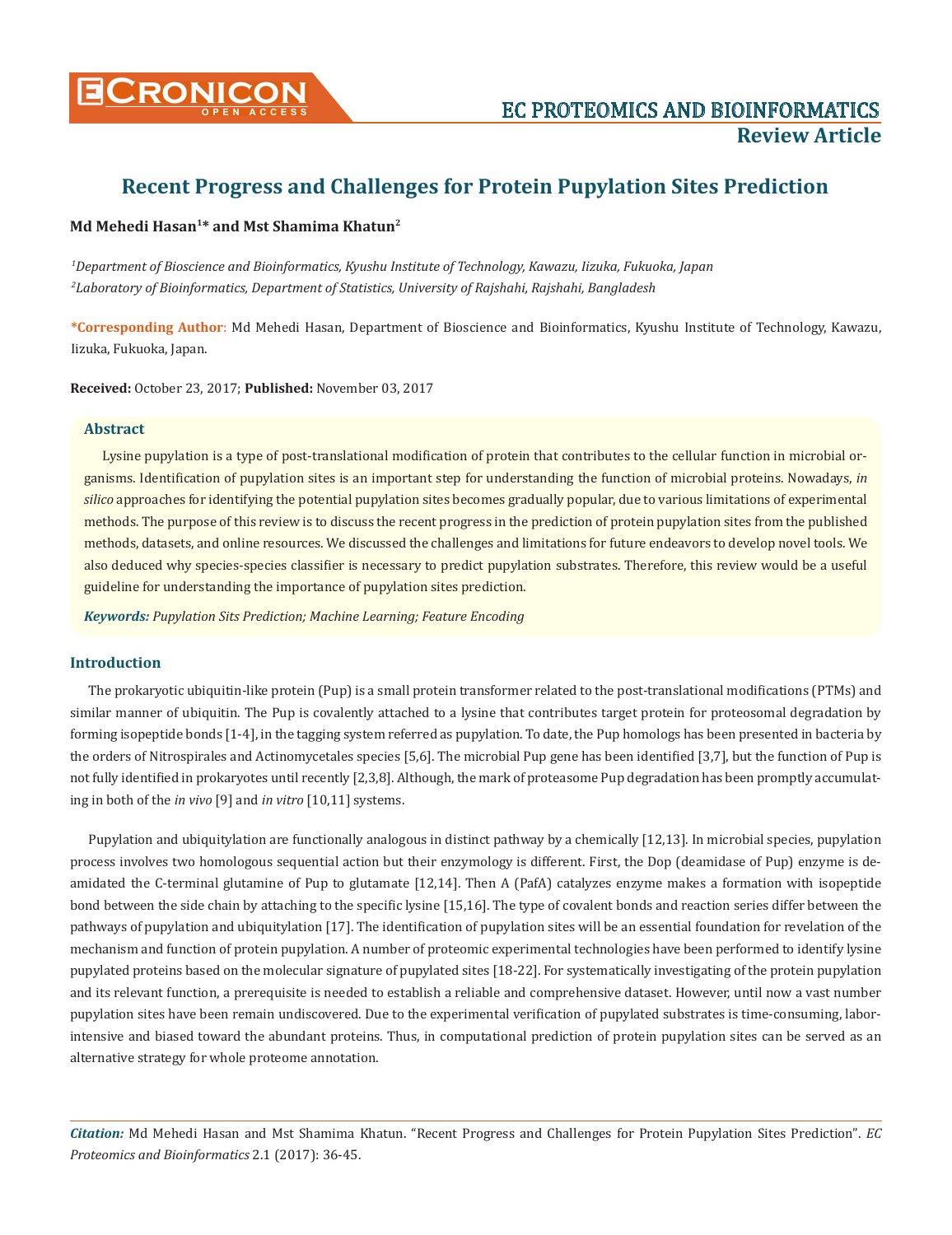

# **Recent Progress and Challenges for Protein Pupylation Sites Prediction**

## **Md Mehedi Hasan1\* and Mst Shamima Khatun2**

*1 Department of Bioscience and Bioinformatics, Kyushu Institute of Technology, Kawazu, Iizuka, Fukuoka, Japan 2 Laboratory of Bioinformatics, Department of Statistics, University of Rajshahi, Rajshahi, Bangladesh*

**\*Corresponding Author**: Md Mehedi Hasan, Department of Bioscience and Bioinformatics, Kyushu Institute of Technology, Kawazu, Iizuka, Fukuoka, Japan.

**Received:** October 23, 2017; **Published:** November 03, 2017

### **Abstract**

Lysine pupylation is a type of post-translational modification of protein that contributes to the cellular function in microbial organisms. Identification of pupylation sites is an important step for understanding the function of microbial proteins. Nowadays, *in silico* approaches for identifying the potential pupylation sites becomes gradually popular, due to various limitations of experimental methods. The purpose of this review is to discuss the recent progress in the prediction of protein pupylation sites from the published methods, datasets, and online resources. We discussed the challenges and limitations for future endeavors to develop novel tools. We also deduced why species-species classifier is necessary to predict pupylation substrates. Therefore, this review would be a useful guideline for understanding the importance of pupylation sites prediction.

*Keywords: Pupylation Sits Prediction; Machine Learning; Feature Encoding*

#### **Introduction**

The prokaryotic ubiquitin-like protein (Pup) is a small protein transformer related to the post-translational modifications (PTMs) and similar manner of ubiquitin. The Pup is covalently attached to a lysine that contributes target protein for proteosomal degradation by forming isopeptide bonds [1-4], in the tagging system referred as pupylation. To date, the Pup homologs has been presented in bacteria by the orders of Nitrospirales and Actinomycetales species [5,6]. The microbial Pup gene has been identified [3,7], but the function of Pup is not fully identified in prokaryotes until recently [2,3,8]. Although, the mark of proteasome Pup degradation has been promptly accumulating in both of the *in vivo* [9] and *in vitro* [10,11] systems.

Pupylation and ubiquitylation are functionally analogous in distinct pathway by a chemically [12,13]. In microbial species, pupylation process involves two homologous sequential action but their enzymology is different. First, the Dop (deamidase of Pup) enzyme is deamidated the C-terminal glutamine of Pup to glutamate [12,14]. Then A (PafA) catalyzes enzyme makes a formation with isopeptide bond between the side chain by attaching to the specific lysine [15,16]. The type of covalent bonds and reaction series differ between the pathways of pupylation and ubiquitylation [17]. The identification of pupylation sites will be an essential foundation for revelation of the mechanism and function of protein pupylation. A number of proteomic experimental technologies have been performed to identify lysine pupylated proteins based on the molecular signature of pupylated sites [18-22]. For systematically investigating of the protein pupylation and its relevant function, a prerequisite is needed to establish a reliable and comprehensive dataset. However, until now a vast number pupylation sites have been remain undiscovered. Due to the experimental verification of pupylated substrates is time-consuming, laborintensive and biased toward the abundant proteins. Thus, in computational prediction of protein pupylation sites can be served as an alternative strategy for whole proteome annotation.

*Citation:* Md Mehedi Hasan and Mst Shamima Khatun. "Recent Progress and Challenges for Protein Pupylation Sites Prediction". *EC Proteomics and Bioinformatics* 2.1 (2017): 36-45.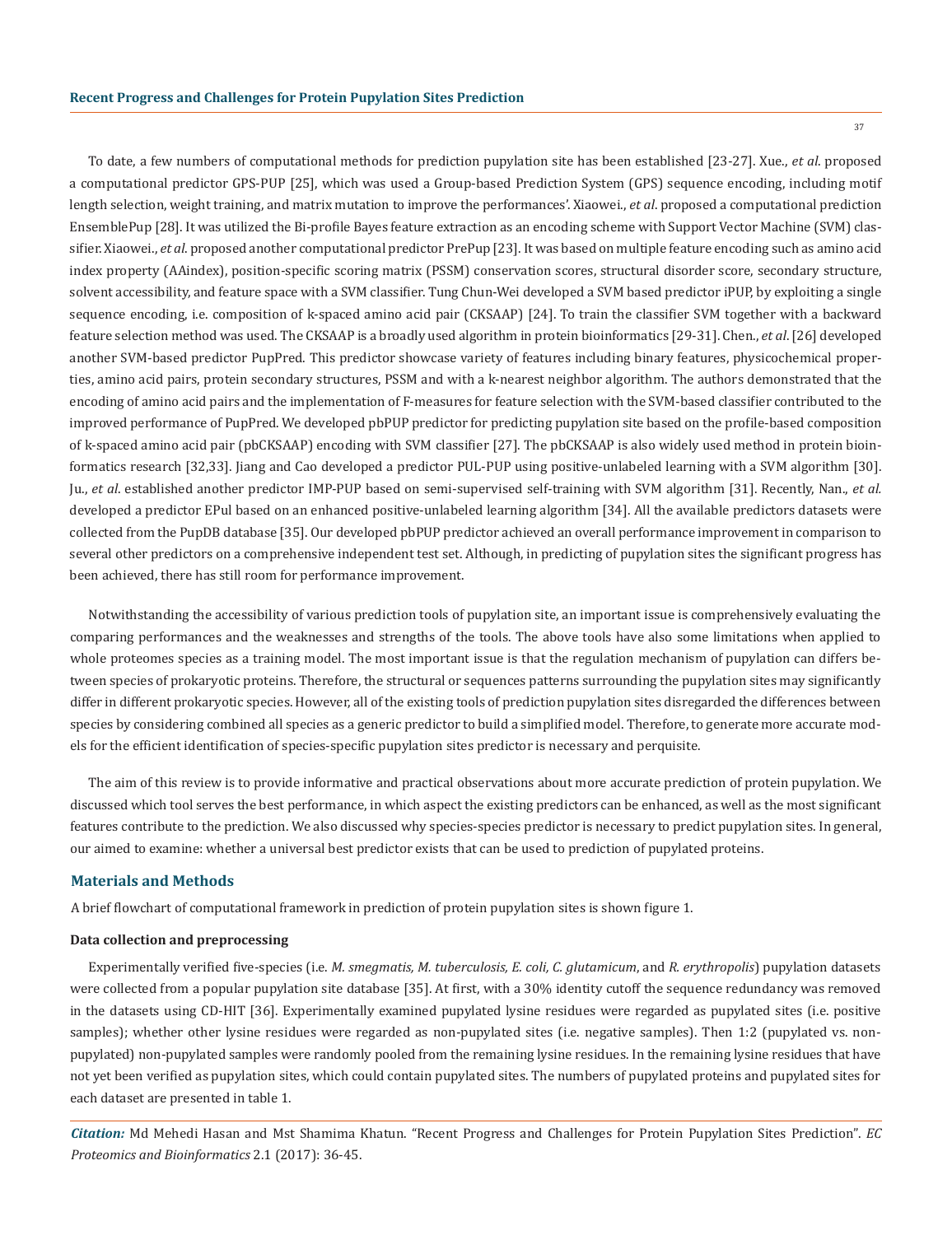To date, a few numbers of computational methods for prediction pupylation site has been established [23-27]. Xue., *et al*. proposed a computational predictor GPS-PUP [25], which was used a Group-based Prediction System (GPS) sequence encoding, including motif length selection, weight training, and matrix mutation to improve the performances'. Xiaowei., *et al*. proposed a computational prediction EnsemblePup [28]. It was utilized the Bi-profile Bayes feature extraction as an encoding scheme with Support Vector Machine (SVM) classifier. Xiaowei., *et al*. proposed another computational predictor PrePup [23]. It was based on multiple feature encoding such as amino acid index property (AAindex), position-specific scoring matrix (PSSM) conservation scores, structural disorder score, secondary structure, solvent accessibility, and feature space with a SVM classifier. Tung Chun-Wei developed a SVM based predictor iPUP, by exploiting a single sequence encoding, i.e. composition of k-spaced amino acid pair (CKSAAP) [24]. To train the classifier SVM together with a backward feature selection method was used. The CKSAAP is a broadly used algorithm in protein bioinformatics [29-31]. Chen., *et al*. [26] developed another SVM-based predictor PupPred. This predictor showcase variety of features including binary features, physicochemical properties, amino acid pairs, protein secondary structures, PSSM and with a k-nearest neighbor algorithm. The authors demonstrated that the encoding of amino acid pairs and the implementation of F-measures for feature selection with the SVM-based classifier contributed to the improved performance of PupPred. We developed pbPUP predictor for predicting pupylation site based on the profile-based composition of k-spaced amino acid pair (pbCKSAAP) encoding with SVM classifier [27]. The pbCKSAAP is also widely used method in protein bioinformatics research [32,33]. Jiang and Cao developed a predictor PUL-PUP using positive-unlabeled learning with a SVM algorithm [30]. Ju., *et al*. established another predictor IMP-PUP based on semi-supervised self-training with SVM algorithm [31]. Recently, Nan., *et al.* developed a predictor EPul based on an enhanced positive-unlabeled learning algorithm [34]. All the available predictors datasets were collected from the PupDB database [35]. Our developed pbPUP predictor achieved an overall performance improvement in comparison to several other predictors on a comprehensive independent test set. Although, in predicting of pupylation sites the significant progress has been achieved, there has still room for performance improvement.

Notwithstanding the accessibility of various prediction tools of pupylation site, an important issue is comprehensively evaluating the comparing performances and the weaknesses and strengths of the tools. The above tools have also some limitations when applied to whole proteomes species as a training model. The most important issue is that the regulation mechanism of pupylation can differs between species of prokaryotic proteins. Therefore, the structural or sequences patterns surrounding the pupylation sites may significantly differ in different prokaryotic species. However, all of the existing tools of prediction pupylation sites disregarded the differences between species by considering combined all species as a generic predictor to build a simplified model. Therefore, to generate more accurate models for the efficient identification of species-specific pupylation sites predictor is necessary and perquisite.

The aim of this review is to provide informative and practical observations about more accurate prediction of protein pupylation. We discussed which tool serves the best performance, in which aspect the existing predictors can be enhanced, as well as the most significant features contribute to the prediction. We also discussed why species-species predictor is necessary to predict pupylation sites. In general, our aimed to examine: whether a universal best predictor exists that can be used to prediction of pupylated proteins.

### **Materials and Methods**

A brief flowchart of computational framework in prediction of protein pupylation sites is shown figure 1.

#### **Data collection and preprocessing**

Experimentally verified five-species (i.e. *M. smegmatis, M. tuberculosis, E. coli, C. glutamicum*, and *R. erythropolis*) pupylation datasets were collected from a popular pupylation site database [35]. At first, with a 30% identity cutoff the sequence redundancy was removed in the datasets using CD-HIT [36]. Experimentally examined pupylated lysine residues were regarded as pupylated sites (i.e. positive samples); whether other lysine residues were regarded as non-pupylated sites (i.e. negative samples). Then 1:2 (pupylated vs. nonpupylated) non-pupylated samples were randomly pooled from the remaining lysine residues. In the remaining lysine residues that have not yet been verified as pupylation sites, which could contain pupylated sites. The numbers of pupylated proteins and pupylated sites for each dataset are presented in table 1.

*Citation:* Md Mehedi Hasan and Mst Shamima Khatun. "Recent Progress and Challenges for Protein Pupylation Sites Prediction". *EC Proteomics and Bioinformatics* 2.1 (2017): 36-45.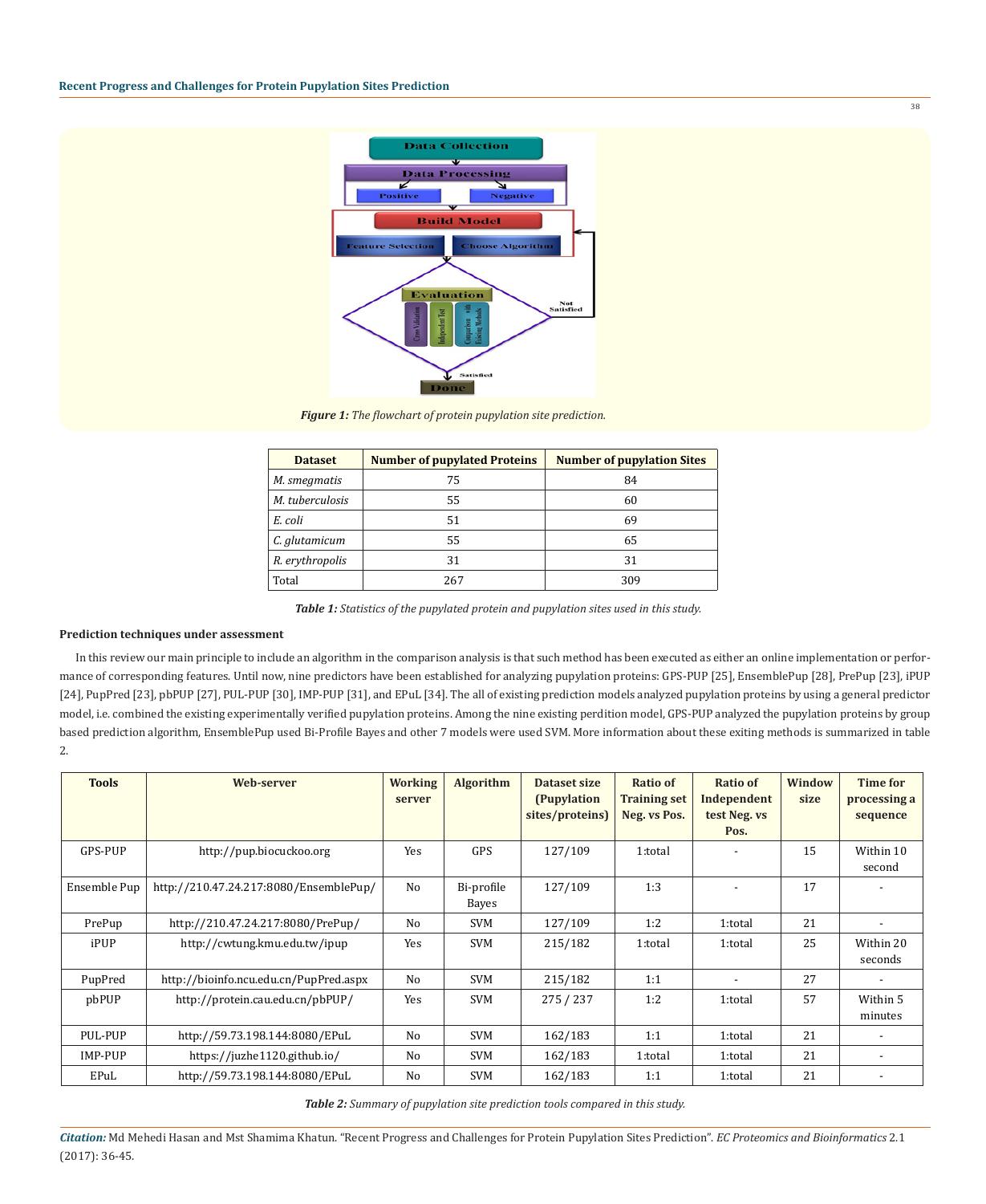

*Figure 1: The flowchart of protein pupylation site prediction.*

| <b>Dataset</b>  | <b>Number of pupylated Proteins</b> | <b>Number of pupylation Sites</b> |  |  |  |  |  |
|-----------------|-------------------------------------|-----------------------------------|--|--|--|--|--|
| M. smegmatis    | 75                                  | 84                                |  |  |  |  |  |
| M. tuberculosis | 55                                  | 60                                |  |  |  |  |  |
| E. coli         | 51                                  | 69                                |  |  |  |  |  |
| C. glutamicum   | 55                                  | 65                                |  |  |  |  |  |
| R. erythropolis | 31                                  | 31                                |  |  |  |  |  |
| Total           | 267                                 | 309                               |  |  |  |  |  |

*Table 1: Statistics of the pupylated protein and pupylation sites used in this study.*

## **Prediction techniques under assessment**

In this review our main principle to include an algorithm in the comparison analysis is that such method has been executed as either an online implementation or performance of corresponding features. Until now, nine predictors have been established for analyzing pupylation proteins: GPS-PUP [25], EnsemblePup [28], PrePup [23], iPUP [24], PupPred [23], pbPUP [27], PUL-PUP [30], IMP-PUP [31], and EPuL [34]. The all of existing prediction models analyzed pupylation proteins by using a general predictor model, i.e. combined the existing experimentally verified pupylation proteins. Among the nine existing perdition model, GPS-PUP analyzed the pupylation proteins by group based prediction algorithm, EnsemblePup used Bi-Profile Bayes and other 7 models were used SVM. More information about these exiting methods is summarized in table 2.

| <b>Tools</b>   | <b>Web-server</b>                      | <b>Working</b><br>server | <b>Algorithm</b>           | Dataset size<br><i>(Pupylation)</i><br>sites/proteins) | <b>Ratio of</b><br><b>Training set</b><br>Neg. vs Pos. | <b>Ratio of</b><br>Independent<br>test Neg. vs<br>Pos. | <b>Window</b><br>size | Time for<br>processing a<br>sequence |
|----------------|----------------------------------------|--------------------------|----------------------------|--------------------------------------------------------|--------------------------------------------------------|--------------------------------------------------------|-----------------------|--------------------------------------|
| GPS-PUP        | http://pup.biocuckoo.org               | Yes                      | <b>GPS</b>                 | 127/109                                                | 1:total                                                |                                                        | 15                    | Within 10<br>second                  |
| Ensemble Pup   | http://210.47.24.217:8080/EnsemblePup/ | N <sub>0</sub>           | Bi-profile<br><b>Bayes</b> | 127/109                                                | 1:3                                                    |                                                        | 17                    |                                      |
| PrePup         | http://210.47.24.217:8080/PrePup/      | N <sub>0</sub>           | <b>SVM</b>                 | 127/109                                                | 1:2                                                    | 1:total                                                | 21                    |                                      |
| iPUP           | http://cwtung.kmu.edu.tw/ipup          | Yes                      | <b>SVM</b>                 | 215/182                                                | 1:total                                                | 1:total                                                | 25                    | Within 20<br>seconds                 |
| PupPred        | http://bioinfo.ncu.edu.cn/PupPred.aspx | N <sub>0</sub>           | <b>SVM</b>                 | 215/182                                                | 1:1                                                    | $\overline{\phantom{a}}$                               | 27                    | $\overline{\phantom{a}}$             |
| pbPUP          | http://protein.cau.edu.cn/pbPUP/       | Yes                      | <b>SVM</b>                 | 275 / 237                                              | 1:2                                                    | 1:total                                                | 57                    | Within 5<br>minutes                  |
| PUL-PUP        | http://59.73.198.144:8080/EPuL         | N <sub>0</sub>           | <b>SVM</b>                 | 162/183                                                | 1:1                                                    | 1:total                                                | 21                    |                                      |
| <b>IMP-PUP</b> | https://juzhe1120.github.io/           | N <sub>0</sub>           | <b>SVM</b>                 | 162/183                                                | 1:total                                                | 1:total                                                | 21                    |                                      |
| EPuL           | http://59.73.198.144:8080/EPuL         | N <sub>0</sub>           | <b>SVM</b>                 | 162/183                                                | 1:1                                                    | 1:total                                                | 21                    |                                      |

*Table 2: Summary of pupylation site prediction tools compared in this study.*

*Citation:* Md Mehedi Hasan and Mst Shamima Khatun. "Recent Progress and Challenges for Protein Pupylation Sites Prediction". *EC Proteomics and Bioinformatics* 2.1 (2017): 36-45.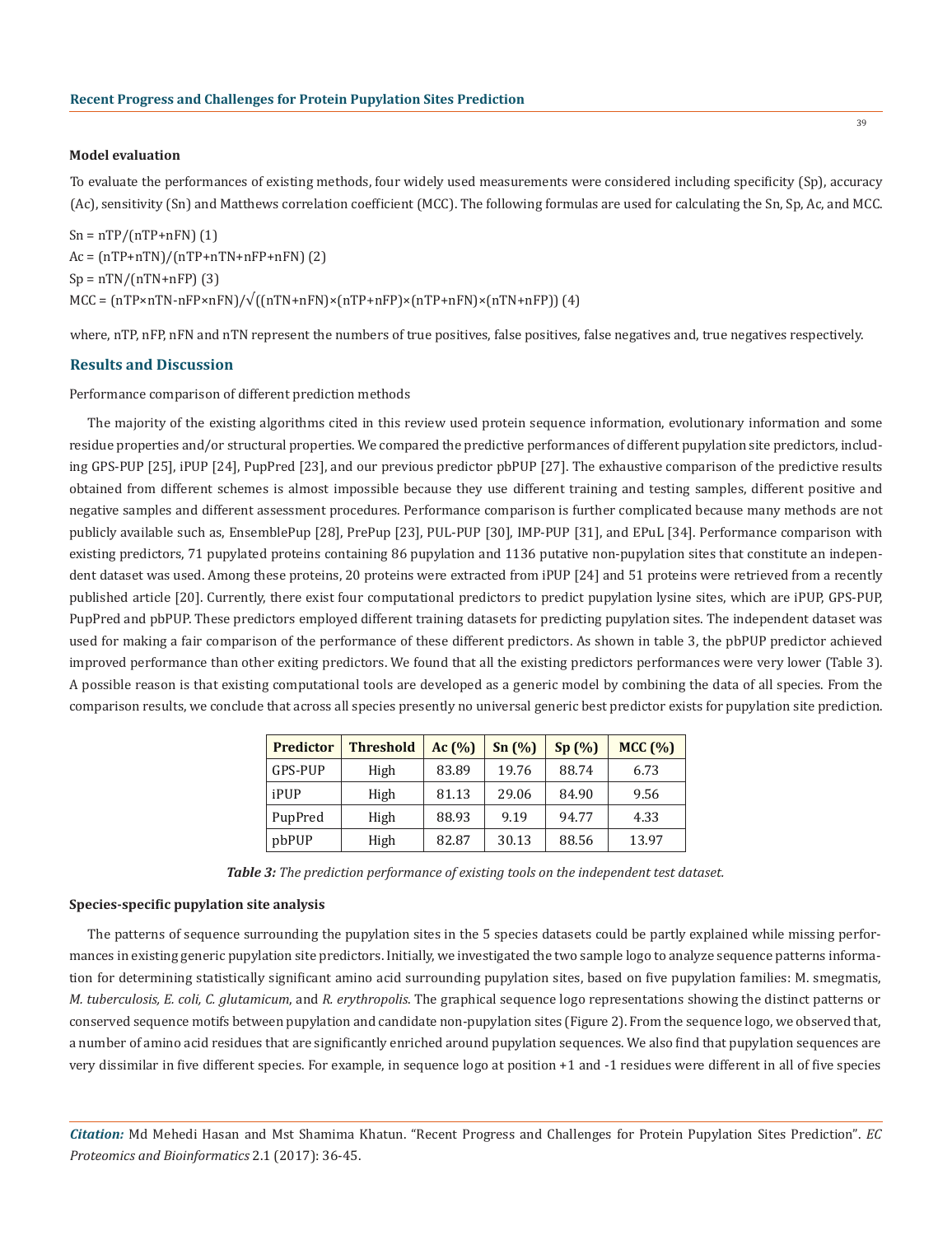#### **Model evaluation**

To evaluate the performances of existing methods, four widely used measurements were considered including specificity (Sp), accuracy (Ac), sensitivity (Sn) and Matthews correlation coefficient (MCC). The following formulas are used for calculating the Sn, Sp, Ac, and MCC.

 $Sn = nTP/(nTP+nFN)$  (1)  $Ac = (nTP + nTN)/(nTP + nTN + nFP + nFN)$  (2)  $Sp = nTN/(nTN+nFP)(3)$ MCC = (nTP×nTN-nFP×nFN)/√((nTN+nFN)×(nTP+nFP)×(nTP+nFN)×(nTN+nFP)) (4)

where, nTP, nFP, nFN and nTN represent the numbers of true positives, false positives, false negatives and, true negatives respectively.

#### **Results and Discussion**

Performance comparison of different prediction methods

The majority of the existing algorithms cited in this review used protein sequence information, evolutionary information and some residue properties and/or structural properties. We compared the predictive performances of different pupylation site predictors, including GPS-PUP [25], iPUP [24], PupPred [23], and our previous predictor pbPUP [27]. The exhaustive comparison of the predictive results obtained from different schemes is almost impossible because they use different training and testing samples, different positive and negative samples and different assessment procedures. Performance comparison is further complicated because many methods are not publicly available such as, EnsemblePup [28], PrePup [23], PUL-PUP [30], IMP-PUP [31], and EPuL [34]. Performance comparison with existing predictors, 71 pupylated proteins containing 86 pupylation and 1136 putative non-pupylation sites that constitute an independent dataset was used. Among these proteins, 20 proteins were extracted from iPUP [24] and 51 proteins were retrieved from a recently published article [20]. Currently, there exist four computational predictors to predict pupylation lysine sites, which are iPUP, GPS-PUP, PupPred and pbPUP. These predictors employed different training datasets for predicting pupylation sites. The independent dataset was used for making a fair comparison of the performance of these different predictors. As shown in table 3, the pbPUP predictor achieved improved performance than other exiting predictors. We found that all the existing predictors performances were very lower (Table 3). A possible reason is that existing computational tools are developed as a generic model by combining the data of all species. From the comparison results, we conclude that across all species presently no universal generic best predictor exists for pupylation site prediction.

| <b>Predictor</b> | <b>Threshold</b> | Ac(%) | Sn(%) | Sp(%) | MCC(%) |
|------------------|------------------|-------|-------|-------|--------|
| GPS-PUP          | High             | 83.89 | 19.76 | 88.74 | 6.73   |
| iPUP             | High             | 81.13 | 29.06 | 84.90 | 9.56   |
| PupPred          | High             | 88.93 | 9.19  | 94.77 | 4.33   |
| pbPUP            | High             | 82.87 | 30.13 | 88.56 | 13.97  |

*Table 3: The prediction performance of existing tools on the independent test dataset.*

#### **Species-specific pupylation site analysis**

The patterns of sequence surrounding the pupylation sites in the 5 species datasets could be partly explained while missing performances in existing generic pupylation site predictors. Initially, we investigated the two sample logo to analyze sequence patterns information for determining statistically significant amino acid surrounding pupylation sites, based on five pupylation families: M. smegmatis, *M. tuberculosis, E. coli, C. glutamicum*, and *R. erythropolis*. The graphical sequence logo representations showing the distinct patterns or conserved sequence motifs between pupylation and candidate non-pupylation sites (Figure 2). From the sequence logo, we observed that, a number of amino acid residues that are significantly enriched around pupylation sequences. We also find that pupylation sequences are very dissimilar in five different species. For example, in sequence logo at position +1 and -1 residues were different in all of five species

*Citation:* Md Mehedi Hasan and Mst Shamima Khatun. "Recent Progress and Challenges for Protein Pupylation Sites Prediction". *EC Proteomics and Bioinformatics* 2.1 (2017): 36-45.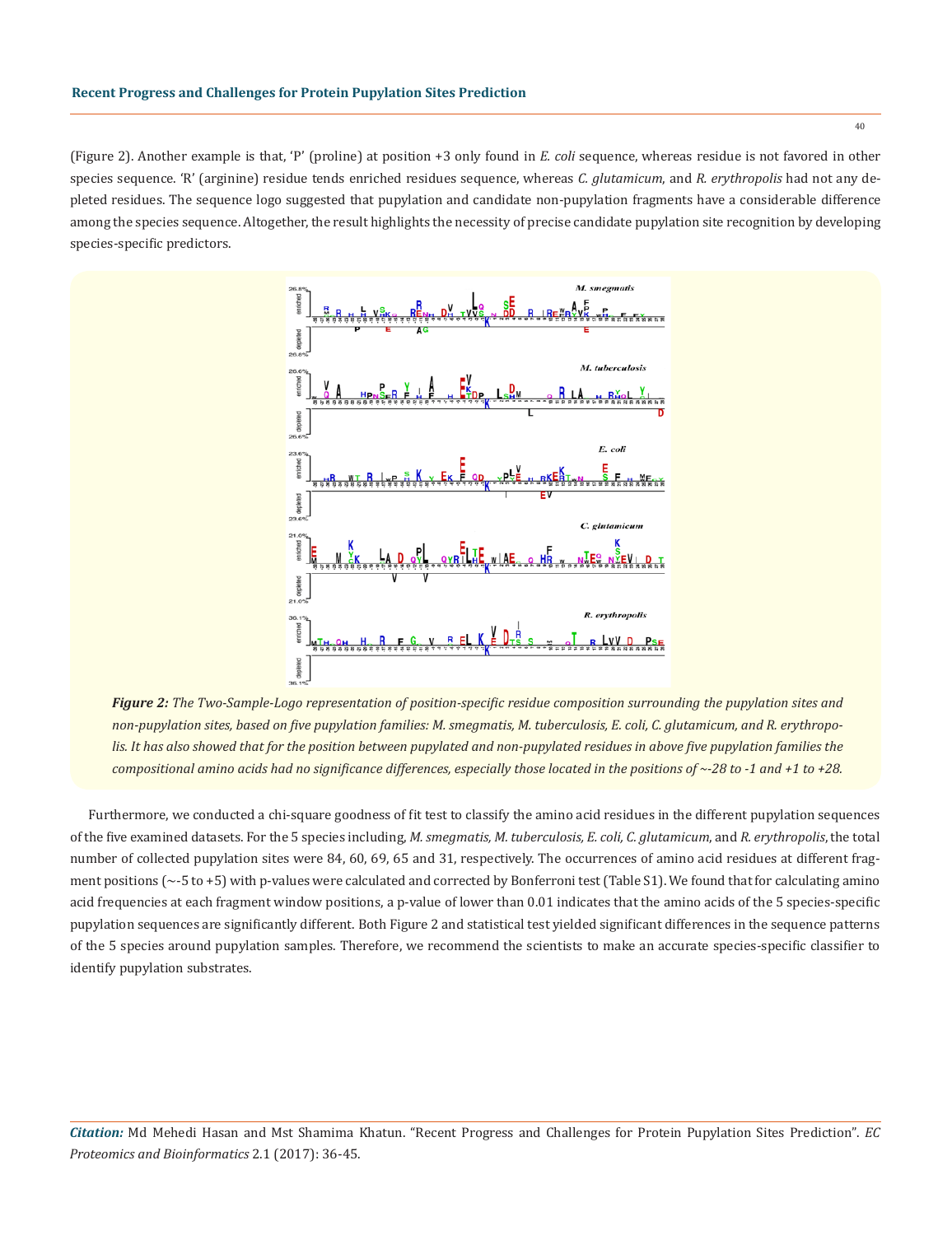(Figure 2). Another example is that, 'P' (proline) at position +3 only found in *E. coli* sequence, whereas residue is not favored in other species sequence. 'R' (arginine) residue tends enriched residues sequence, whereas *C. glutamicum*, and *R. erythropolis* had not any depleted residues. The sequence logo suggested that pupylation and candidate non-pupylation fragments have a considerable difference among the species sequence. Altogether, the result highlights the necessity of precise candidate pupylation site recognition by developing species-specific predictors.



*Figure 2: The Two-Sample-Logo representation of position-specific residue composition surrounding the pupylation sites and non-pupylation sites, based on five pupylation families: M. smegmatis, M. tuberculosis, E. coli, C. glutamicum, and R. erythropolis. It has also showed that for the position between pupylated and non-pupylated residues in above five pupylation families the compositional amino acids had no significance differences, especially those located in the positions of ~-28 to -1 and +1 to +28.*

Furthermore, we conducted a chi-square goodness of fit test to classify the amino acid residues in the different pupylation sequences of the five examined datasets. For the 5 species including, *M. smegmatis, M. tuberculosis, E. coli, C. glutamicum*, and *R. erythropolis*, the total number of collected pupylation sites were 84, 60, 69, 65 and 31, respectively. The occurrences of amino acid residues at different fragment positions (~-5 to +5) with p-values were calculated and corrected by Bonferroni test (Table S1). We found that for calculating amino acid frequencies at each fragment window positions, a p-value of lower than 0.01 indicates that the amino acids of the 5 species-specific pupylation sequences are significantly different. Both Figure 2 and statistical test yielded significant differences in the sequence patterns of the 5 species around pupylation samples. Therefore, we recommend the scientists to make an accurate species-specific classifier to identify pupylation substrates.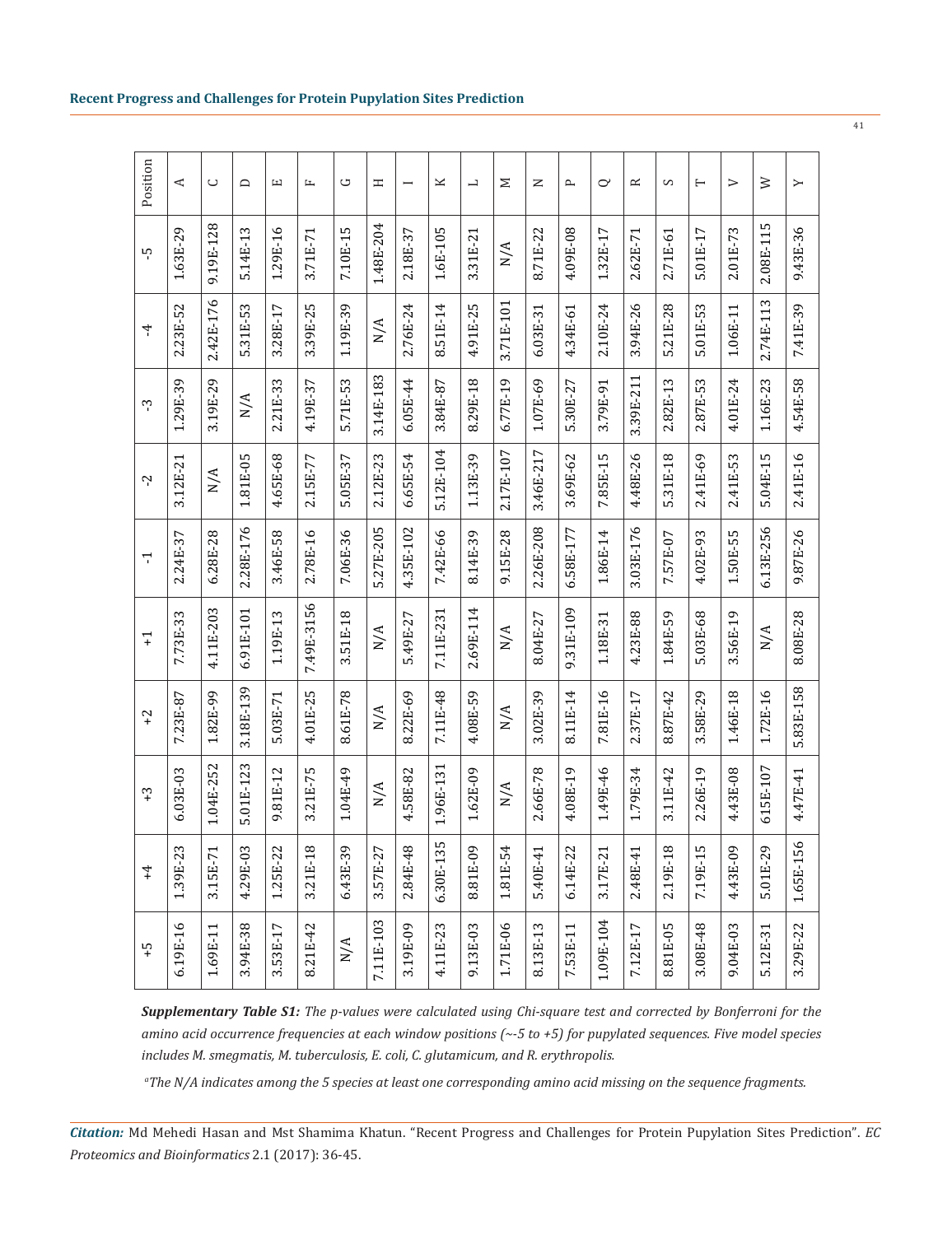| Position                                                                                                                                                                | 4             | $\cup$                   | $\Box$      | $\Box$       | $\mathbf{L}$                                                                                                                                                                                                                                                                                                                                                                                                                                                     | ت        | Ξ         |           | ×               | L         | Σ         | Z                  | $\mathbf{r}$    | $\sim$    | $\approx$ | S                     | $\vdash$      | $\triangleright$ | $\geq$    | ≻               |
|-------------------------------------------------------------------------------------------------------------------------------------------------------------------------|---------------|--------------------------|-------------|--------------|------------------------------------------------------------------------------------------------------------------------------------------------------------------------------------------------------------------------------------------------------------------------------------------------------------------------------------------------------------------------------------------------------------------------------------------------------------------|----------|-----------|-----------|-----------------|-----------|-----------|--------------------|-----------------|-----------|-----------|-----------------------|---------------|------------------|-----------|-----------------|
| ယု                                                                                                                                                                      | 1.63E-29      | 9.19E-128                | 5.14E-13    | 1.29E-16     | 3.71E-71                                                                                                                                                                                                                                                                                                                                                                                                                                                         | 7.10E-15 | 1.48E-204 | 2.18E-37  | 1.6E-105        | 3.31E-21  | N/A       | 8.71E-22           | 4.09E-08        | 1.32E-17  | 2.62E-71  | 2.71E-61              | 5.01E-17      | 2.01E-73         | 2.08E-115 | 9.43E-36        |
| $\overline{4}$                                                                                                                                                          | 2.23E-52      | 2.42E-176                | 5.31E-53    | 3.28E-17     | 3.39E-25                                                                                                                                                                                                                                                                                                                                                                                                                                                         | 1.19E-39 | N/A       | 2.76E-24  | 8.51E-14        | 4.91E-25  | 3.71E-101 | $6.03E-31$         | 4.34E-61        | 2.10E-24  | 3.94E-26  | 5.21E-28              | 5.01E-53      | 1.06E-11         | 2.74E-113 | 7.41E-39        |
| က္                                                                                                                                                                      | 1.29E-39      | 3.19E-29                 | N/A         | 2.21E-33     | 4.19E-37                                                                                                                                                                                                                                                                                                                                                                                                                                                         | 5.71E-53 | 3.14E-183 | 6.05E-44  | 3.84E-87        | 8.29E-18  | 6.77E-19  | $1.07E-69$         | 5.30E-27        | 3.79E-91  | 3.39E-211 | 2.82E-13              | 2.87E-53      | 4.01E-24         | 1.16E-23  | 4.54E-58        |
| Ņ                                                                                                                                                                       | 3.12E-21      | N/A                      | 1.81E-05    | 4.65E-68     | 2.15E-77                                                                                                                                                                                                                                                                                                                                                                                                                                                         | 5.05E-37 | 2.12E-23  | 6.65E-54  | 5.12E-104       | 1.13E-39  | 2.17E-107 | 3.46E-217          | 3.69E-62        | 7.85E-15  | 4.48E-26  | 5.31E-18              | 2.41E-69      | 2.41E-53         | 5.04E-15  | 2.41E-16        |
| 부                                                                                                                                                                       | 2.24E-37      | 6.28E-28                 | 2.28E-176   | 3.46E-58     | 2.78E-16                                                                                                                                                                                                                                                                                                                                                                                                                                                         | 7.06E-36 | 5.27E-205 | 4.35E-102 | 7.42E-66        | 8.14E-39  | 9.15E-28  | 2.26E-208          | 6.58E-177       | 1.86E-14  | 3.03E-176 | 7.57E-07              | 4.02E-93      | 1.50E-55         | 6.13E-256 | 9.87E-26        |
| 4                                                                                                                                                                       | 7.73E-33      | 4.11E-203                | 6.91E-101   | 1.19E-13     | 7.49E-3156                                                                                                                                                                                                                                                                                                                                                                                                                                                       | 3.51E-18 | N/A       | 5.49E-27  | 7.11E-231       | 2.69E-114 | N/A       | 8.04E-27           | 9.31E-109       | 1.18E-31  | 4.23E-88  | 1.84E-59              | 5.03E-68      | 3.56E-19         | N/A       | 8.08E-28        |
| $^{+2}$                                                                                                                                                                 | 7.23E-87      | 1.82E-99                 | 3.18E-139   | 5.03E-71     | 4.01E-25                                                                                                                                                                                                                                                                                                                                                                                                                                                         | 8.61E-78 | N/A       | 8.22E-69  | 7.11E-48        | 4.08E-59  | N/A       | 3.02E-39           | 8.11E-14        | 7.81E-16  | 2.37E-17  | 8.87E-42              | 3.58E-29      | 1.46E-18         | 1.72E-16  | 5.83E-158       |
| $\widetilde{t}^+$                                                                                                                                                       | $6.03E-03$    | 1.04E-252                | 5.01E-123   | 9.81E-12     | 3.21E-75                                                                                                                                                                                                                                                                                                                                                                                                                                                         | 1.04E-49 | N/A       | 4.58E-82  | 1.96E-131       | 1.62E-09  | N/A       | 2.66E-78           | 4.08E-19        | 1.49E-46  | 1.79E-34  | 3.11E-42              | 2.26E-19      | 4.43E-08         | 615E-107  | 4.47E-41        |
| 4                                                                                                                                                                       | 23<br>1.39E-Z | $\overline{7}$<br>3.15E- | ā<br>4.29E- | 1.25E-22     | $^{\circ}$<br>$3.21E-$                                                                                                                                                                                                                                                                                                                                                                                                                                           | 6.43E-39 | 3.57E-27  | 2.84E-48  | 35<br>$6.30E-1$ | 8.81E-0   | 1.81E-54  | $\Xi$<br>$5.40E-4$ | 22<br>$6.14E-2$ | 3.17E-21  | 2.48E-41  | $^{\circ}$<br>2.19E-1 | LO<br>7.19E-1 | 4.43E-09         | 5.01E-29  | 99<br>$1.65E-1$ |
| $\frac{17}{4}$                                                                                                                                                          | 6.19E-16      | 1.69E-11                 | 3.94E-38    | 53E-17<br>ω. | 8.21E-42                                                                                                                                                                                                                                                                                                                                                                                                                                                         | N/A      | 7.11E-103 | 3.19E-09  | 4.11E-23        | 9.13E-03  | 1.71E-06  | 8.13E-13           | 7.53E-11        | 1.09E-104 | 7.12E-17  | 8.81E-05              | 3.08E-48      | 9.04E-03         | 5.12E-31  | 3.29E-22        |
|                                                                                                                                                                         |               |                          |             |              | Supplementary Table S1: The p-values were calculated using Chi-square test and corrected by Bonferroni for th<br>amino acid occurrence frequencies at each window positions ( $\sim$ -5 to +5) for pupylated sequences. Five model specie<br>includes M. smegmatis, M. tuberculosis, E. coli, C. glutamicum, and R. erythropolis.<br><sup>a</sup> The N/A indicates among the 5 species at least one corresponding amino acid missing on the sequence fragments. |          |           |           |                 |           |           |                    |                 |           |           |                       |               |                  |           |                 |
| Citation: Md Mehedi Hasan and Mst Shamima Khatun. "Recent Progress and Challenges for Protein Pupylation Sites Preo<br>Proteomics and Bioinformatics 2.1 (2017): 36-45. |               |                          |             |              |                                                                                                                                                                                                                                                                                                                                                                                                                                                                  |          |           |           |                 |           |           |                    |                 |           |           |                       |               |                  |           |                 |

*Citation:* Md Mehedi Hasan and Mst Shamima Khatun. "Recent Progress and Challenges for Protein Pupylation Sites Prediction". *EC*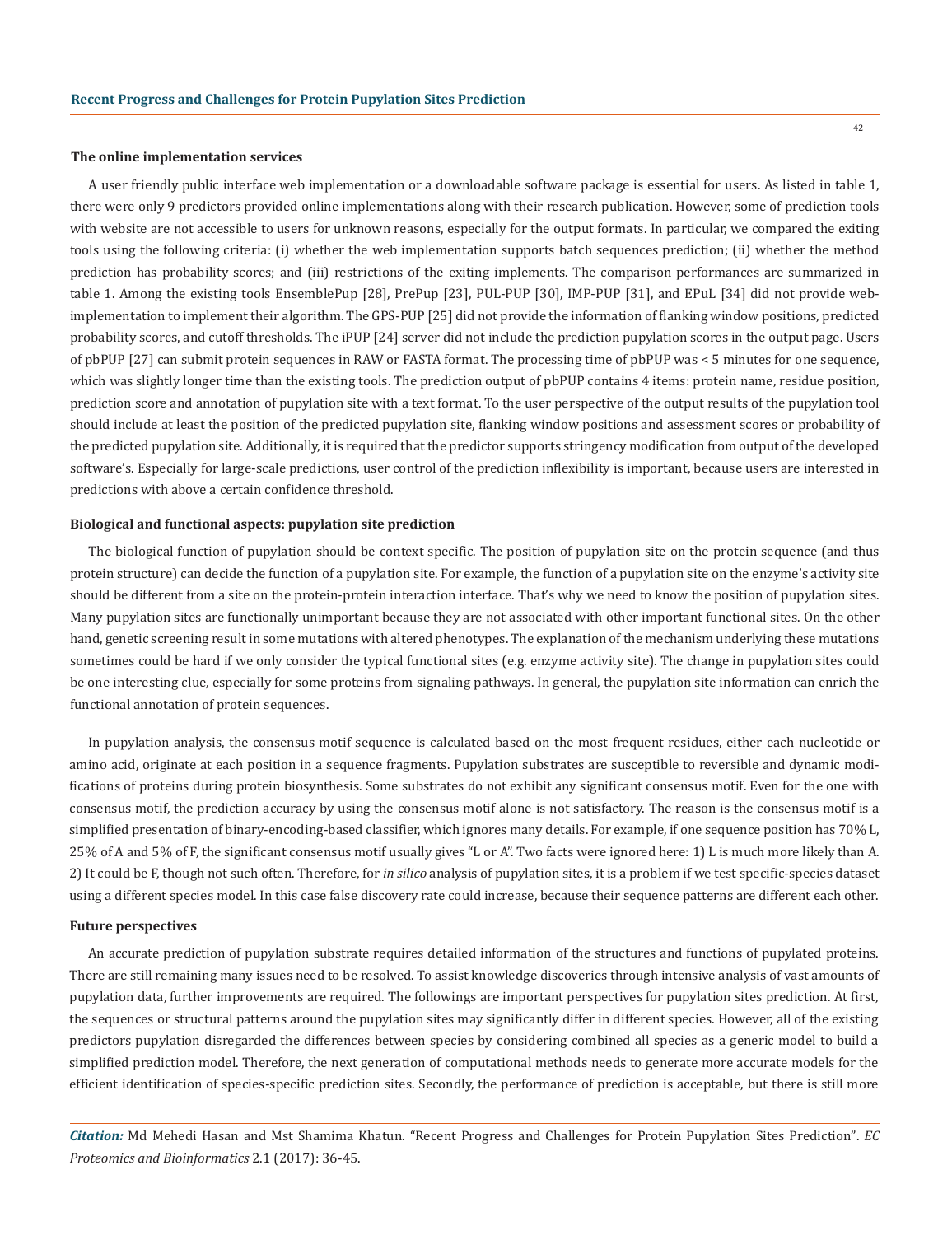### **The online implementation services**

A user friendly public interface web implementation or a downloadable software package is essential for users. As listed in table 1, there were only 9 predictors provided online implementations along with their research publication. However, some of prediction tools with website are not accessible to users for unknown reasons, especially for the output formats. In particular, we compared the exiting tools using the following criteria: (i) whether the web implementation supports batch sequences prediction; (ii) whether the method prediction has probability scores; and (iii) restrictions of the exiting implements. The comparison performances are summarized in table 1. Among the existing tools EnsemblePup [28], PrePup [23], PUL-PUP [30], IMP-PUP [31], and EPuL [34] did not provide webimplementation to implement their algorithm. The GPS-PUP [25] did not provide the information of flanking window positions, predicted probability scores, and cutoff thresholds. The iPUP [24] server did not include the prediction pupylation scores in the output page. Users of pbPUP [27] can submit protein sequences in RAW or FASTA format. The processing time of pbPUP was < 5 minutes for one sequence, which was slightly longer time than the existing tools. The prediction output of pbPUP contains 4 items: protein name, residue position, prediction score and annotation of pupylation site with a text format. To the user perspective of the output results of the pupylation tool should include at least the position of the predicted pupylation site, flanking window positions and assessment scores or probability of the predicted pupylation site. Additionally, it is required that the predictor supports stringency modification from output of the developed software's. Especially for large-scale predictions, user control of the prediction inflexibility is important, because users are interested in predictions with above a certain confidence threshold.

#### **Biological and functional aspects: pupylation site prediction**

The biological function of pupylation should be context specific. The position of pupylation site on the protein sequence (and thus protein structure) can decide the function of a pupylation site. For example, the function of a pupylation site on the enzyme's activity site should be different from a site on the protein-protein interaction interface. That's why we need to know the position of pupylation sites. Many pupylation sites are functionally unimportant because they are not associated with other important functional sites. On the other hand, genetic screening result in some mutations with altered phenotypes. The explanation of the mechanism underlying these mutations sometimes could be hard if we only consider the typical functional sites (e.g. enzyme activity site). The change in pupylation sites could be one interesting clue, especially for some proteins from signaling pathways. In general, the pupylation site information can enrich the functional annotation of protein sequences.

In pupylation analysis, the consensus motif sequence is calculated based on the most frequent residues, either each nucleotide or amino acid, originate at each position in a sequence fragments. Pupylation substrates are susceptible to reversible and dynamic modifications of proteins during protein biosynthesis. Some substrates do not exhibit any significant consensus motif. Even for the one with consensus motif, the prediction accuracy by using the consensus motif alone is not satisfactory. The reason is the consensus motif is a simplified presentation of binary-encoding-based classifier, which ignores many details. For example, if one sequence position has 70% L, 25% of A and 5% of F, the significant consensus motif usually gives "L or A". Two facts were ignored here: 1) L is much more likely than A. 2) It could be F, though not such often. Therefore, for *in silico* analysis of pupylation sites, it is a problem if we test specific-species dataset using a different species model. In this case false discovery rate could increase, because their sequence patterns are different each other.

#### **Future perspectives**

An accurate prediction of pupylation substrate requires detailed information of the structures and functions of pupylated proteins. There are still remaining many issues need to be resolved. To assist knowledge discoveries through intensive analysis of vast amounts of pupylation data, further improvements are required. The followings are important perspectives for pupylation sites prediction. At first, the sequences or structural patterns around the pupylation sites may significantly differ in different species. However, all of the existing predictors pupylation disregarded the differences between species by considering combined all species as a generic model to build a simplified prediction model. Therefore, the next generation of computational methods needs to generate more accurate models for the efficient identification of species-specific prediction sites. Secondly, the performance of prediction is acceptable, but there is still more

*Citation:* Md Mehedi Hasan and Mst Shamima Khatun. "Recent Progress and Challenges for Protein Pupylation Sites Prediction". *EC Proteomics and Bioinformatics* 2.1 (2017): 36-45.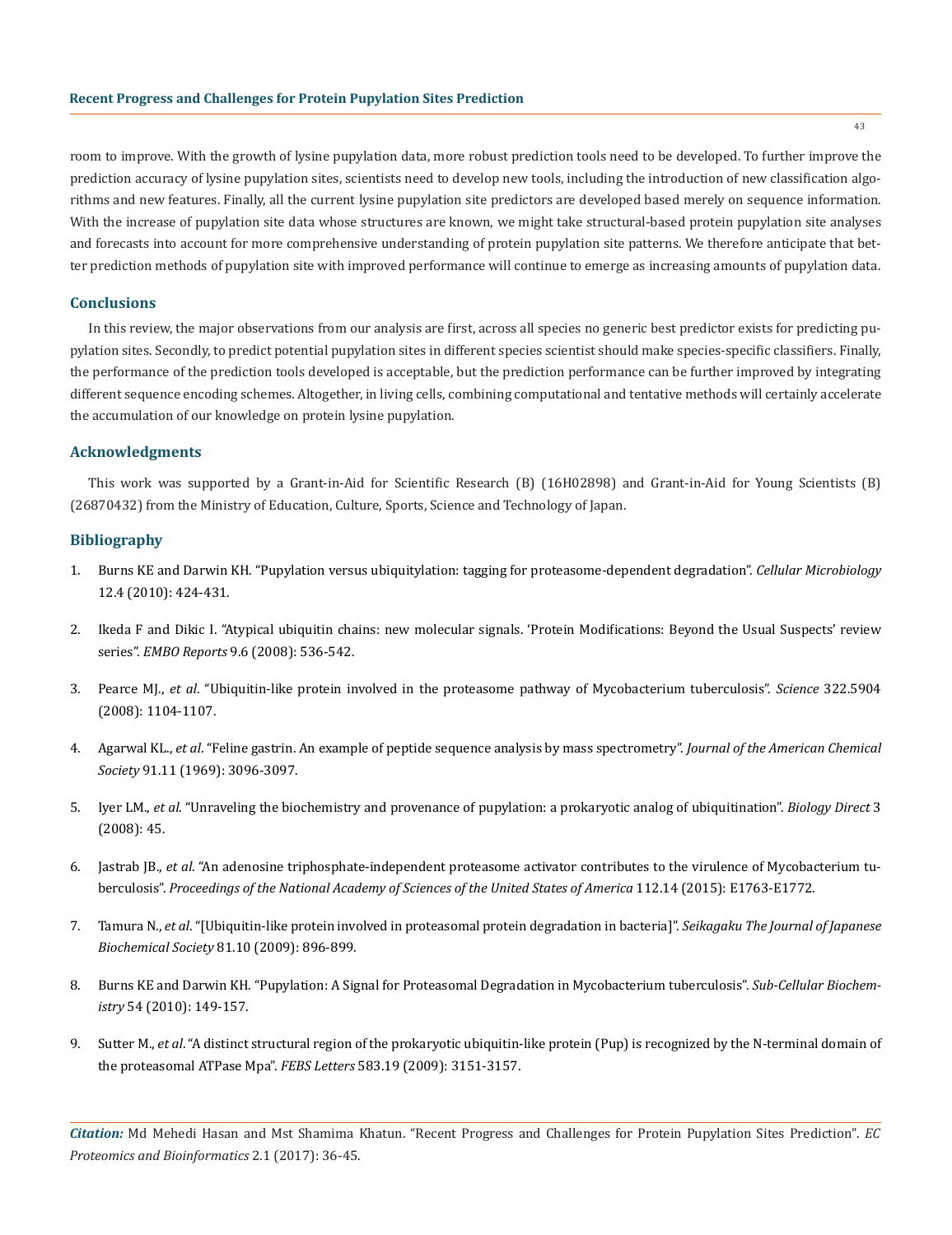room to improve. With the growth of lysine pupylation data, more robust prediction tools need to be developed. To further improve the prediction accuracy of lysine pupylation sites, scientists need to develop new tools, including the introduction of new classification algorithms and new features. Finally, all the current lysine pupylation site predictors are developed based merely on sequence information. With the increase of pupylation site data whose structures are known, we might take structural-based protein pupylation site analyses and forecasts into account for more comprehensive understanding of protein pupylation site patterns. We therefore anticipate that better prediction methods of pupylation site with improved performance will continue to emerge as increasing amounts of pupylation data.

#### **Conclusions**

In this review, the major observations from our analysis are first, across all species no generic best predictor exists for predicting pupylation sites. Secondly, to predict potential pupylation sites in different species scientist should make species-specific classifiers. Finally, the performance of the prediction tools developed is acceptable, but the prediction performance can be further improved by integrating different sequence encoding schemes. Altogether, in living cells, combining computational and tentative methods will certainly accelerate the accumulation of our knowledge on protein lysine pupylation.

### **Acknowledgments**

This work was supported by a Grant-in-Aid for Scientific Research (B) (16H02898) and Grant-in-Aid for Young Scientists (B) (26870432) from the Ministry of Education, Culture, Sports, Science and Technology of Japan.

## **Bibliography**

- 1. Burns KE and Darwin KH. "Pupylation versus ubiquitylation: tagging for proteasome-dependent degradation". *Cellular Microbiology* 12.4 (2010): 424-431.
- 2. Ikeda F and Dikic I. "Atypical ubiquitin chains: new molecular signals. 'Protein Modifications: Beyond the Usual Suspects' review series". *EMBO Reports* 9.6 (2008): 536-542.
- 3. Pearce MJ., *et al*. "Ubiquitin-like protein involved in the proteasome pathway of Mycobacterium tuberculosis". *Science* 322.5904 (2008): 1104-1107.
- 4. Agarwal KL., *et al*. "Feline gastrin. An example of peptide sequence analysis by mass spectrometry". *Journal of the American Chemical Society* 91.11 (1969): 3096-3097.
- 5. Iyer LM., *et al*. "Unraveling the biochemistry and provenance of pupylation: a prokaryotic analog of ubiquitination". *Biology Direct* 3 (2008): 45.
- 6. Jastrab JB., *et al*. "An adenosine triphosphate-independent proteasome activator contributes to the virulence of Mycobacterium tuberculosis". *Proceedings of the National Academy of Sciences of the United States of America* 112.14 (2015): E1763-E1772.
- 7. Tamura N., *et al*. "[Ubiquitin-like protein involved in proteasomal protein degradation in bacteria]". *Seikagaku The Journal of Japanese Biochemical Society* 81.10 (2009): 896-899.
- 8. Burns KE and Darwin KH. "Pupylation: A Signal for Proteasomal Degradation in Mycobacterium tuberculosis". *Sub-Cellular Biochemistry* 54 (2010): 149-157.
- 9. Sutter M., *et al*. "A distinct structural region of the prokaryotic ubiquitin-like protein (Pup) is recognized by the N-terminal domain of the proteasomal ATPase Mpa". *FEBS Letters* 583.19 (2009): 3151-3157.

*Citation:* Md Mehedi Hasan and Mst Shamima Khatun. "Recent Progress and Challenges for Protein Pupylation Sites Prediction". *EC Proteomics and Bioinformatics* 2.1 (2017): 36-45.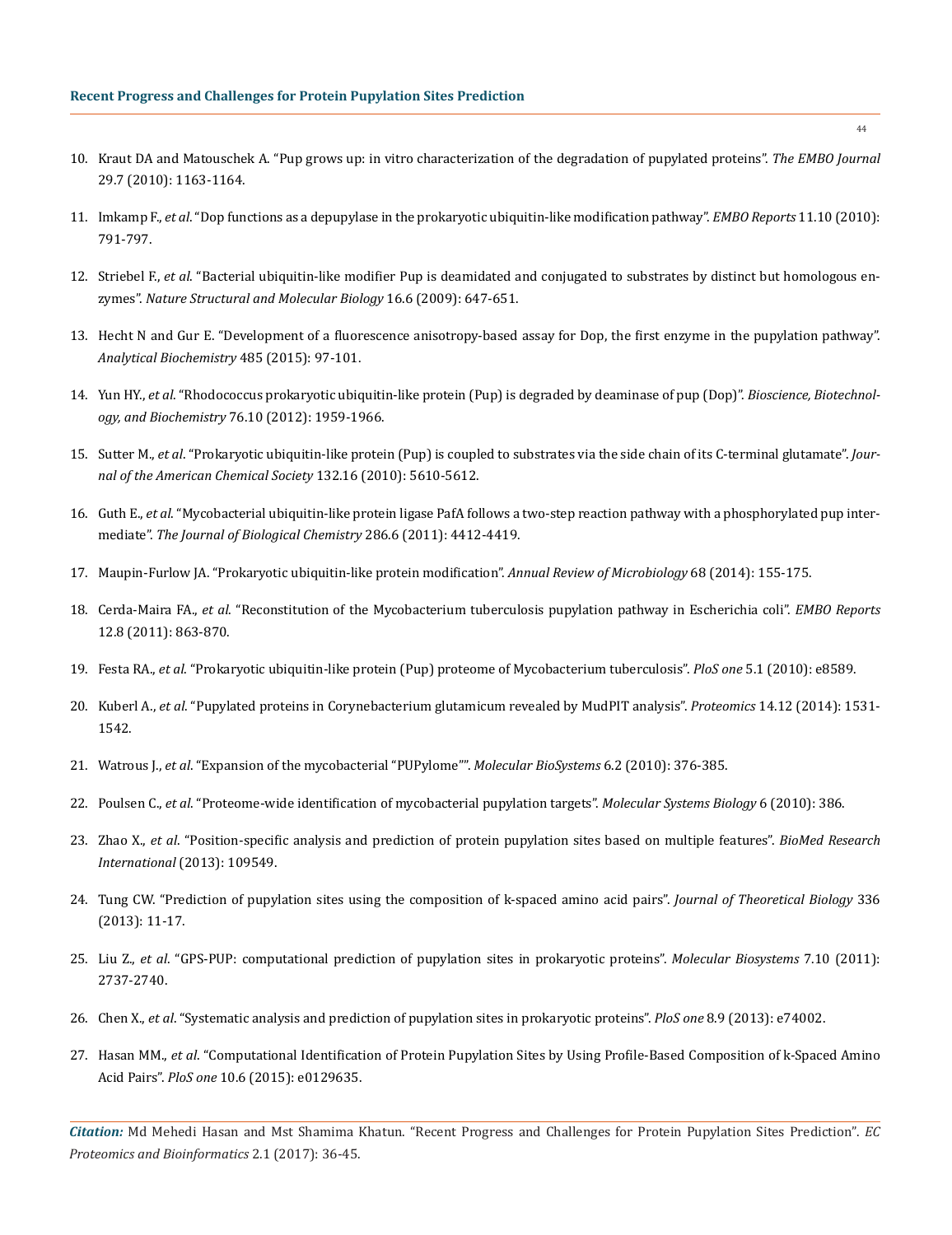- 10. Kraut DA and Matouschek A. "Pup grows up: in vitro characterization of the degradation of pupylated proteins". *The EMBO Journal*  29.7 (2010): 1163-1164.
- 11. Imkamp F., *et al*. "Dop functions as a depupylase in the prokaryotic ubiquitin-like modification pathway". *EMBO Reports* 11.10 (2010): 791-797.
- 12. Striebel F., *et al*. "Bacterial ubiquitin-like modifier Pup is deamidated and conjugated to substrates by distinct but homologous enzymes". *Nature Structural and Molecular Biology* 16.6 (2009): 647-651.
- 13. Hecht N and Gur E. "Development of a fluorescence anisotropy-based assay for Dop, the first enzyme in the pupylation pathway". *Analytical Biochemistry* 485 (2015): 97-101.
- 14. Yun HY., *et al*. "Rhodococcus prokaryotic ubiquitin-like protein (Pup) is degraded by deaminase of pup (Dop)". *Bioscience, Biotechnology, and Biochemistry* 76.10 (2012): 1959-1966.
- 15. Sutter M., *et al*. "Prokaryotic ubiquitin-like protein (Pup) is coupled to substrates via the side chain of its C-terminal glutamate". *Journal of the American Chemical Society* 132.16 (2010): 5610-5612.
- 16. Guth E., *et al*. "Mycobacterial ubiquitin-like protein ligase PafA follows a two-step reaction pathway with a phosphorylated pup intermediate". *The Journal of Biological Chemistry* 286.6 (2011): 4412-4419.
- 17. Maupin-Furlow JA. "Prokaryotic ubiquitin-like protein modification". *Annual Review of Microbiology* 68 (2014): 155-175.
- 18. Cerda-Maira FA., *et al*. "Reconstitution of the Mycobacterium tuberculosis pupylation pathway in Escherichia coli". *EMBO Reports* 12.8 (2011): 863-870.
- 19. Festa RA., *et al*. "Prokaryotic ubiquitin-like protein (Pup) proteome of Mycobacterium tuberculosis". *PloS one* 5.1 (2010): e8589.
- 20. Kuberl A., *et al*. "Pupylated proteins in Corynebacterium glutamicum revealed by MudPIT analysis". *Proteomics* 14.12 (2014): 1531- 1542.
- 21. Watrous J., *et al*. "Expansion of the mycobacterial "PUPylome"". *Molecular BioSystems* 6.2 (2010): 376-385.
- 22. Poulsen C., *et al*. "Proteome-wide identification of mycobacterial pupylation targets". *Molecular Systems Biology* 6 (2010): 386.
- 23. Zhao X., *et al*. "Position-specific analysis and prediction of protein pupylation sites based on multiple features". *BioMed Research International* (2013): 109549.
- 24. Tung CW. "Prediction of pupylation sites using the composition of k-spaced amino acid pairs". *Journal of Theoretical Biology* 336 (2013): 11-17.
- 25. Liu Z., *et al*. "GPS-PUP: computational prediction of pupylation sites in prokaryotic proteins". *Molecular Biosystems* 7.10 (2011): 2737-2740.
- 26. Chen X., *et al*. "Systematic analysis and prediction of pupylation sites in prokaryotic proteins". *PloS one* 8.9 (2013): e74002.
- 27. Hasan MM., *et al*. "Computational Identification of Protein Pupylation Sites by Using Profile-Based Composition of k-Spaced Amino Acid Pairs". *PloS one* 10.6 (2015): e0129635.

*Citation:* Md Mehedi Hasan and Mst Shamima Khatun. "Recent Progress and Challenges for Protein Pupylation Sites Prediction". *EC Proteomics and Bioinformatics* 2.1 (2017): 36-45.